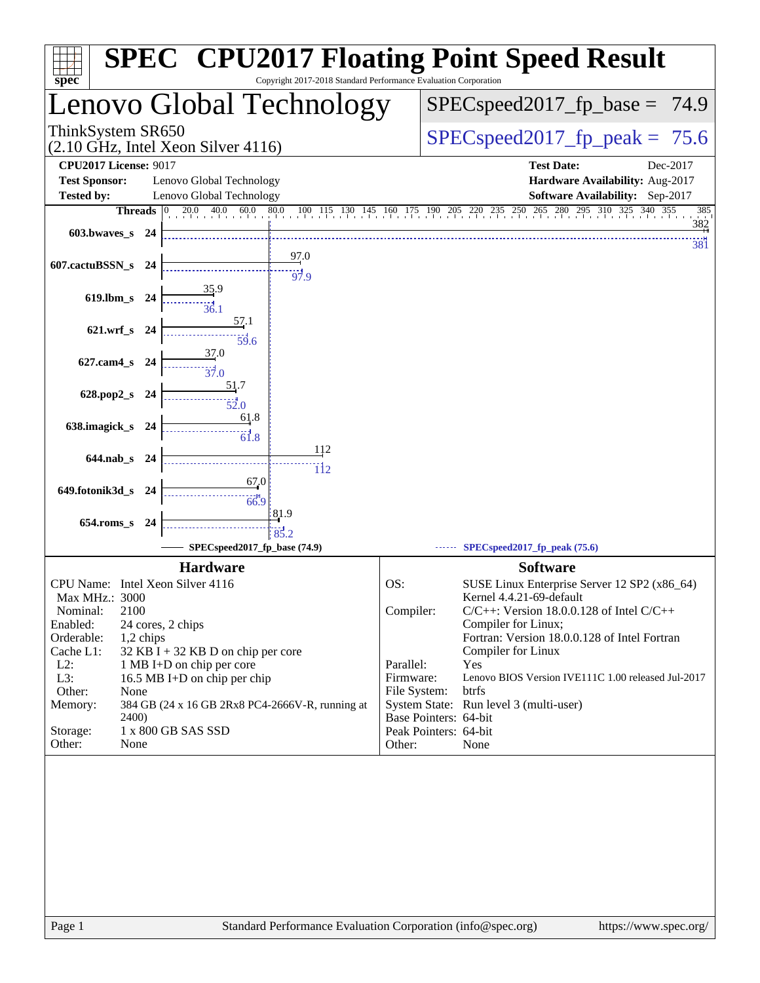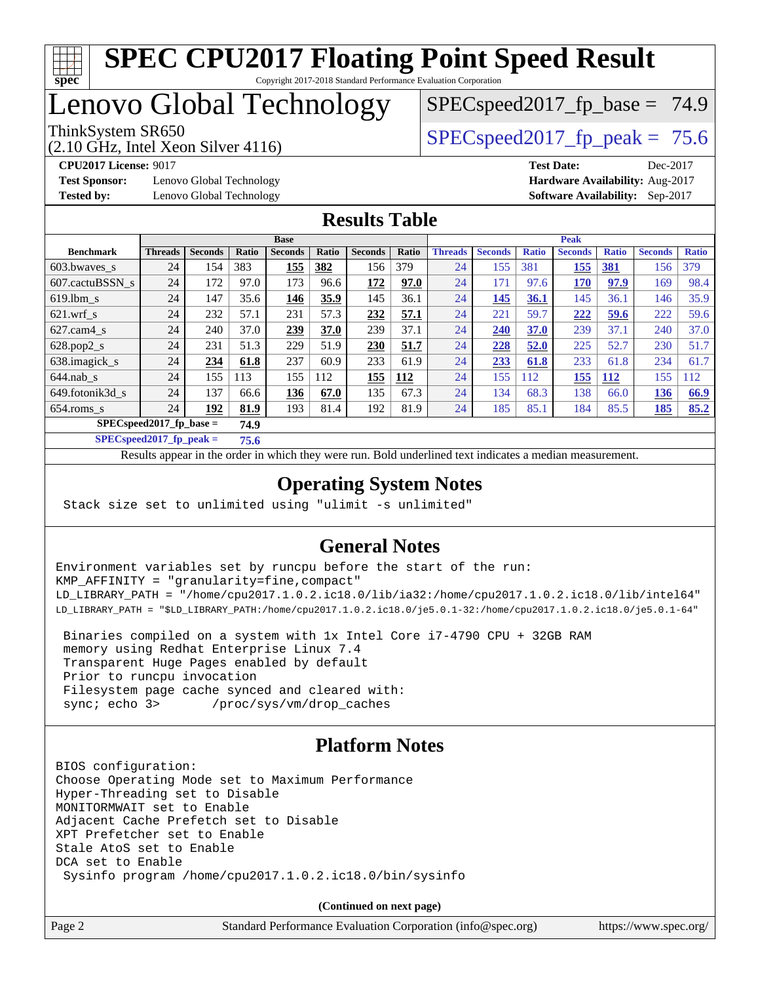

## Lenovo Global Technology

(2.10 GHz, Intel Xeon Silver 4116)

ThinkSystem SR650  $SPEC speed2017$  fp\_peak = 75.6

 $SPECspeed2017<sub>fp</sub> base = 74.9$ 

**[Test Sponsor:](http://www.spec.org/auto/cpu2017/Docs/result-fields.html#TestSponsor)** Lenovo Global Technology **[Hardware Availability:](http://www.spec.org/auto/cpu2017/Docs/result-fields.html#HardwareAvailability)** Aug-2017 **[Tested by:](http://www.spec.org/auto/cpu2017/Docs/result-fields.html#Testedby)** Lenovo Global Technology **[Software Availability:](http://www.spec.org/auto/cpu2017/Docs/result-fields.html#SoftwareAvailability)** Sep-2017

**[CPU2017 License:](http://www.spec.org/auto/cpu2017/Docs/result-fields.html#CPU2017License)** 9017 **[Test Date:](http://www.spec.org/auto/cpu2017/Docs/result-fields.html#TestDate)** Dec-2017

#### **[Results Table](http://www.spec.org/auto/cpu2017/Docs/result-fields.html#ResultsTable)**

|                  | <b>Base</b>                        |                |       |                | <b>Peak</b> |                |       |                |                |              |                |              |                |              |
|------------------|------------------------------------|----------------|-------|----------------|-------------|----------------|-------|----------------|----------------|--------------|----------------|--------------|----------------|--------------|
| <b>Benchmark</b> | <b>Threads</b>                     | <b>Seconds</b> | Ratio | <b>Seconds</b> | Ratio       | <b>Seconds</b> | Ratio | <b>Threads</b> | <b>Seconds</b> | <b>Ratio</b> | <b>Seconds</b> | <b>Ratio</b> | <b>Seconds</b> | <b>Ratio</b> |
| 603.bwayes s     | 24                                 | 154            | 383   | 155            | 382         | 156            | 379   | 24             | 155            | 381          | 155            | <b>381</b>   | 156            | 379          |
| 607.cactuBSSN s  | 24                                 | 172            | 97.0  | 173            | 96.6        | 172            | 97.0  | 24             | 171            | 97.6         | 170            | 97.9         | 169            | 98.4         |
| $619.1$ bm s     | 24                                 | 147            | 35.6  | 146            | 35.9        | 145            | 36.1  | 24             | 145            | 36.1         | 145            | 36.1         | 146            | 35.9         |
| $621.wrf$ s      | 24                                 | 232            | 57.1  | 231            | 57.3        | 232            | 57.1  | 24             | 221            | 59.7         | 222            | 59.6         | 222            | 59.6         |
| $627.cam4_s$     | 24                                 | 240            | 37.0  | 239            | 37.0        | 239            | 37.1  | 24             | 240            | 37.0         | 239            | 37.1         | 240            | 37.0         |
| $628.pop2_s$     | 24                                 | 231            | 51.3  | 229            | 51.9        | 230            | 51.7  | 24             | 228            | 52.0         | 225            | 52.7         | 230            | 51.7         |
| 638.imagick_s    | 24                                 | 234            | 61.8  | 237            | 60.9        | 233            | 61.9  | 24             | 233            | 61.8         | 233            | 61.8         | 234            | 61.7         |
| $644$ .nab s     | 24                                 | 155            | 113   | 155            | 112         | 155            | 112   | 24             | 155            | 112          | 155            | <u>112</u>   | 155            | 12           |
| 649.fotonik3d s  | 24                                 | 137            | 66.6  | 136            | 67.0        | 135            | 67.3  | 24             | 134            | 68.3         | 138            | 66.0         | 136            | 66.9         |
| $654$ .roms s    | 24                                 | 192            | 81.9  | 193            | 81.4        | 192            | 81.9  | 24             | 185            | 85.1         | 184            | 85.5         | 185            | 85.2         |
|                  | $SPEC speed2017$ fp base =<br>74.9 |                |       |                |             |                |       |                |                |              |                |              |                |              |

**[SPECspeed2017\\_fp\\_peak =](http://www.spec.org/auto/cpu2017/Docs/result-fields.html#SPECspeed2017fppeak) 75.6**

Results appear in the [order in which they were run.](http://www.spec.org/auto/cpu2017/Docs/result-fields.html#RunOrder) Bold underlined text [indicates a median measurement](http://www.spec.org/auto/cpu2017/Docs/result-fields.html#Median).

### **[Operating System Notes](http://www.spec.org/auto/cpu2017/Docs/result-fields.html#OperatingSystemNotes)**

Stack size set to unlimited using "ulimit -s unlimited"

### **[General Notes](http://www.spec.org/auto/cpu2017/Docs/result-fields.html#GeneralNotes)**

Environment variables set by runcpu before the start of the run: KMP\_AFFINITY = "granularity=fine,compact" LD\_LIBRARY\_PATH = "/home/cpu2017.1.0.2.ic18.0/lib/ia32:/home/cpu2017.1.0.2.ic18.0/lib/intel64" LD\_LIBRARY\_PATH = "\$LD\_LIBRARY\_PATH:/home/cpu2017.1.0.2.ic18.0/je5.0.1-32:/home/cpu2017.1.0.2.ic18.0/je5.0.1-64"

 Binaries compiled on a system with 1x Intel Core i7-4790 CPU + 32GB RAM memory using Redhat Enterprise Linux 7.4 Transparent Huge Pages enabled by default Prior to runcpu invocation Filesystem page cache synced and cleared with: sync; echo 3> /proc/sys/vm/drop\_caches

### **[Platform Notes](http://www.spec.org/auto/cpu2017/Docs/result-fields.html#PlatformNotes)**

BIOS configuration: Choose Operating Mode set to Maximum Performance Hyper-Threading set to Disable MONITORMWAIT set to Enable Adjacent Cache Prefetch set to Disable XPT Prefetcher set to Enable Stale AtoS set to Enable DCA set to Enable Sysinfo program /home/cpu2017.1.0.2.ic18.0/bin/sysinfo

**(Continued on next page)**

Page 2 Standard Performance Evaluation Corporation [\(info@spec.org\)](mailto:info@spec.org) <https://www.spec.org/>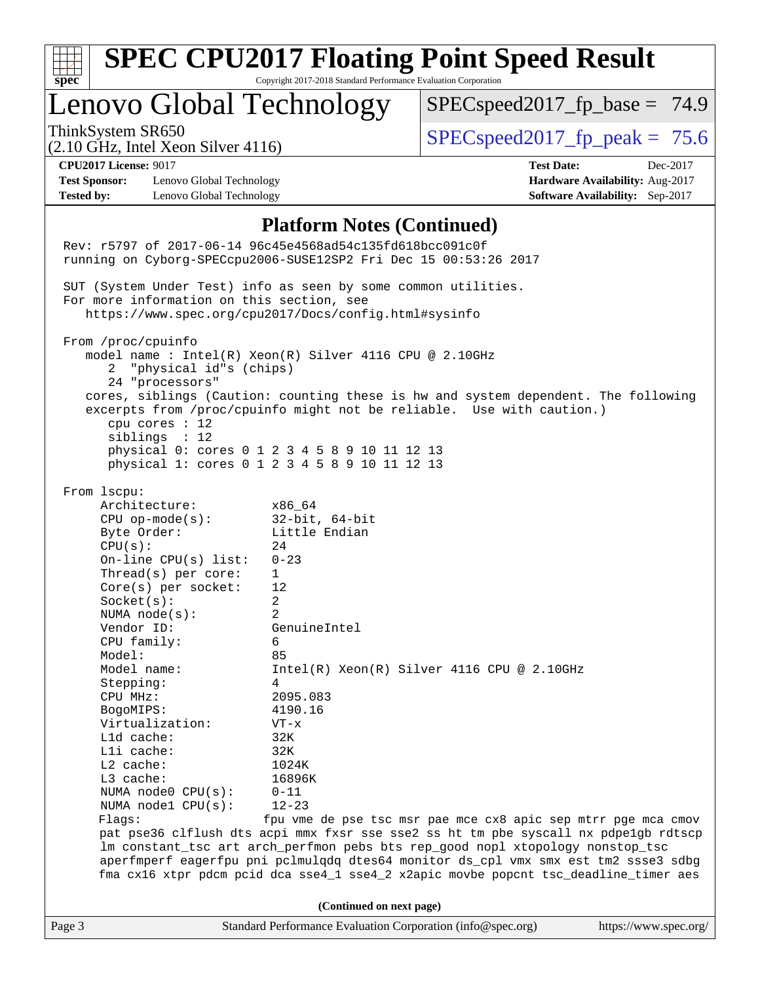|                                                                                                                                                                                                                                                                                                                                                                                                                                                                                                                                | <b>SPEC CPU2017 Floating Point Speed Result</b>                                                                                                                                                                                                                                                                                                                                                                                                                                                                  |                                                                                                               |                                                                                |
|--------------------------------------------------------------------------------------------------------------------------------------------------------------------------------------------------------------------------------------------------------------------------------------------------------------------------------------------------------------------------------------------------------------------------------------------------------------------------------------------------------------------------------|------------------------------------------------------------------------------------------------------------------------------------------------------------------------------------------------------------------------------------------------------------------------------------------------------------------------------------------------------------------------------------------------------------------------------------------------------------------------------------------------------------------|---------------------------------------------------------------------------------------------------------------|--------------------------------------------------------------------------------|
| $spec^*$<br>Lenovo Global Technology                                                                                                                                                                                                                                                                                                                                                                                                                                                                                           | Copyright 2017-2018 Standard Performance Evaluation Corporation                                                                                                                                                                                                                                                                                                                                                                                                                                                  | $SPEC speed2017_f p\_base = 74.9$                                                                             |                                                                                |
| ThinkSystem SR650<br>$(2.10 \text{ GHz}, \text{Intel Xeon Silver } 4116)$                                                                                                                                                                                                                                                                                                                                                                                                                                                      |                                                                                                                                                                                                                                                                                                                                                                                                                                                                                                                  | $SPEC speed2017fp peak = 75.6$                                                                                |                                                                                |
| <b>CPU2017 License: 9017</b><br><b>Test Sponsor:</b><br>Lenovo Global Technology<br><b>Tested by:</b><br>Lenovo Global Technology                                                                                                                                                                                                                                                                                                                                                                                              |                                                                                                                                                                                                                                                                                                                                                                                                                                                                                                                  | <b>Test Date:</b>                                                                                             | Dec-2017<br>Hardware Availability: Aug-2017<br>Software Availability: Sep-2017 |
| Rev: r5797 of 2017-06-14 96c45e4568ad54c135fd618bcc091c0f<br>running on Cyborg-SPECcpu2006-SUSE12SP2 Fri Dec 15 00:53:26 2017<br>SUT (System Under Test) info as seen by some common utilities.<br>For more information on this section, see<br>From /proc/cpuinfo<br>"physical id"s (chips)<br>2<br>24 "processors"<br>cpu cores : 12<br>siblings : 12<br>From 1scpu:<br>Architecture:<br>$CPU$ op-mode( $s$ ):<br>Byte Order:<br>CPU(s):<br>On-line CPU(s) list:<br>Thread(s) per core:<br>Core(s) per socket:<br>Socket(s): | <b>Platform Notes (Continued)</b><br>https://www.spec.org/cpu2017/Docs/config.html#sysinfo<br>model name : Intel(R) Xeon(R) Silver 4116 CPU @ 2.10GHz<br>cores, siblings (Caution: counting these is hw and system dependent. The following<br>excerpts from /proc/cpuinfo might not be reliable. Use with caution.)<br>physical 0: cores 0 1 2 3 4 5 8 9 10 11 12 13<br>physical 1: cores 0 1 2 3 4 5 8 9 10 11 12 13<br>x86 64<br>$32$ -bit, $64$ -bit<br>Little Endian<br>24<br>$0 - 23$<br>1<br>12<br>2      |                                                                                                               |                                                                                |
| NUMA $node(s):$<br>Vendor ID:<br>CPU family:<br>Model:<br>Model name:<br>Stepping:<br>CPU MHz:<br>BogoMIPS:<br>Virtualization:<br>L1d cache:<br>Lli cache:<br>L2 cache:<br>L3 cache:<br>NUMA node0 CPU(s):<br>NUMA nodel CPU(s):<br>Flags:                                                                                                                                                                                                                                                                                     | 2<br>GenuineIntel<br>6<br>85<br>4<br>2095.083<br>4190.16<br>$VT - x$<br>32K<br>32K<br>1024K<br>16896K<br>$0 - 11$<br>$12 - 23$<br>pat pse36 clflush dts acpi mmx fxsr sse sse2 ss ht tm pbe syscall nx pdpelgb rdtscp<br>lm constant_tsc art arch_perfmon pebs bts rep_good nopl xtopology nonstop_tsc<br>aperfmperf eagerfpu pni pclmulqdq dtes64 monitor ds_cpl vmx smx est tm2 ssse3 sdbg<br>fma cx16 xtpr pdcm pcid dca sse4_1 sse4_2 x2apic movbe popcnt tsc_deadline_timer aes<br>(Continued on next page) | $Intel(R) Xeon(R) Silver 4116 CPU @ 2.10GHz$<br>fpu vme de pse tsc msr pae mce cx8 apic sep mtrr pge mca cmov |                                                                                |
| Page 3                                                                                                                                                                                                                                                                                                                                                                                                                                                                                                                         | Standard Performance Evaluation Corporation (info@spec.org)                                                                                                                                                                                                                                                                                                                                                                                                                                                      |                                                                                                               | https://www.spec.org/                                                          |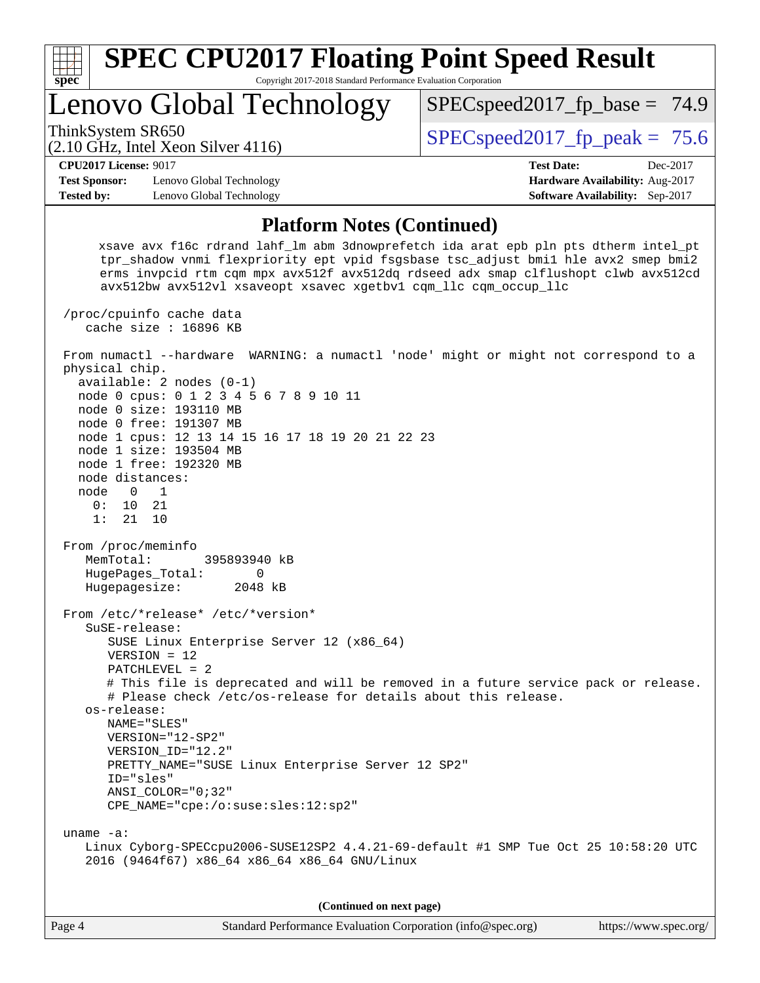

**(Continued on next page)**

| Standard Performance Evaluation Corporation (info@spec.org)<br>Page 4 | https://www.spec.org/ |
|-----------------------------------------------------------------------|-----------------------|
|-----------------------------------------------------------------------|-----------------------|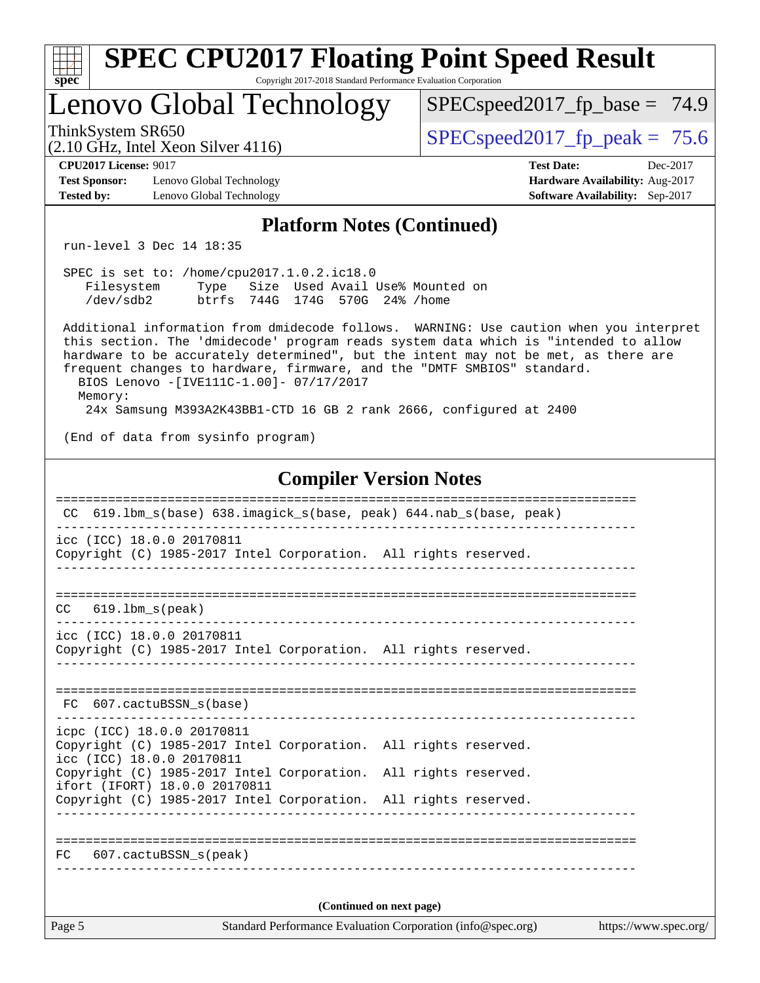| <b>SPEC CPU2017 Floating Point Speed Result</b>                                                                                                                                                                                                                                                                                                                                                                                                                            |                                                                                                     |  |  |  |  |  |
|----------------------------------------------------------------------------------------------------------------------------------------------------------------------------------------------------------------------------------------------------------------------------------------------------------------------------------------------------------------------------------------------------------------------------------------------------------------------------|-----------------------------------------------------------------------------------------------------|--|--|--|--|--|
| Copyright 2017-2018 Standard Performance Evaluation Corporation<br>spec <sup>®</sup><br>Lenovo Global Technology                                                                                                                                                                                                                                                                                                                                                           | $SPEC speed2017_f p\_base = 74.9$                                                                   |  |  |  |  |  |
| ThinkSystem SR650<br>$(2.10 \text{ GHz}, \text{Intel Xeon Silver } 4116)$                                                                                                                                                                                                                                                                                                                                                                                                  | $SPEC speed2017_fp\_peak = 75.6$                                                                    |  |  |  |  |  |
| <b>CPU2017 License: 9017</b><br><b>Test Sponsor:</b><br>Lenovo Global Technology<br>Lenovo Global Technology<br><b>Tested by:</b>                                                                                                                                                                                                                                                                                                                                          | <b>Test Date:</b><br>Dec-2017<br>Hardware Availability: Aug-2017<br>Software Availability: Sep-2017 |  |  |  |  |  |
| <b>Platform Notes (Continued)</b>                                                                                                                                                                                                                                                                                                                                                                                                                                          |                                                                                                     |  |  |  |  |  |
| run-level 3 Dec 14 18:35                                                                                                                                                                                                                                                                                                                                                                                                                                                   |                                                                                                     |  |  |  |  |  |
| SPEC is set to: /home/cpu2017.1.0.2.ic18.0<br>Type Size Used Avail Use% Mounted on<br>Filesystem<br>/dev/sdb2<br>btrfs 744G 174G 570G 24% / home                                                                                                                                                                                                                                                                                                                           |                                                                                                     |  |  |  |  |  |
| Additional information from dmidecode follows. WARNING: Use caution when you interpret<br>this section. The 'dmidecode' program reads system data which is "intended to allow<br>hardware to be accurately determined", but the intent may not be met, as there are<br>frequent changes to hardware, firmware, and the "DMTF SMBIOS" standard.<br>BIOS Lenovo -[IVE111C-1.00]- 07/17/2017<br>Memory:<br>24x Samsung M393A2K43BB1-CTD 16 GB 2 rank 2666, configured at 2400 |                                                                                                     |  |  |  |  |  |
| (End of data from sysinfo program)                                                                                                                                                                                                                                                                                                                                                                                                                                         |                                                                                                     |  |  |  |  |  |
| <b>Compiler Version Notes</b>                                                                                                                                                                                                                                                                                                                                                                                                                                              |                                                                                                     |  |  |  |  |  |
| CC 619.1bm_s(base) 638.imagick_s(base, peak) 644.nab_s(base, peak)                                                                                                                                                                                                                                                                                                                                                                                                         |                                                                                                     |  |  |  |  |  |
| icc (ICC) 18.0.0 20170811<br>Copyright (C) 1985-2017 Intel Corporation. All rights reserved.                                                                                                                                                                                                                                                                                                                                                                               |                                                                                                     |  |  |  |  |  |
| ================<br>$619.1$ bm_s(peak)<br>CC.                                                                                                                                                                                                                                                                                                                                                                                                                              |                                                                                                     |  |  |  |  |  |
| icc (ICC) 18.0.0 20170811<br>Copyright (C) 1985-2017 Intel Corporation. All rights reserved.                                                                                                                                                                                                                                                                                                                                                                               |                                                                                                     |  |  |  |  |  |
| FC 607. cactuBSSN s(base)                                                                                                                                                                                                                                                                                                                                                                                                                                                  |                                                                                                     |  |  |  |  |  |
| icpc (ICC) 18.0.0 20170811<br>Copyright (C) 1985-2017 Intel Corporation. All rights reserved.<br>icc (ICC) 18.0.0 20170811                                                                                                                                                                                                                                                                                                                                                 |                                                                                                     |  |  |  |  |  |
| Copyright (C) 1985-2017 Intel Corporation. All rights reserved.<br>ifort (IFORT) 18.0.0 20170811<br>Copyright (C) 1985-2017 Intel Corporation. All rights reserved.                                                                                                                                                                                                                                                                                                        |                                                                                                     |  |  |  |  |  |
| FC 607.cactuBSSN s(peak)                                                                                                                                                                                                                                                                                                                                                                                                                                                   |                                                                                                     |  |  |  |  |  |
| (Continued on next page)                                                                                                                                                                                                                                                                                                                                                                                                                                                   |                                                                                                     |  |  |  |  |  |
| Page 5<br>Standard Performance Evaluation Corporation (info@spec.org)                                                                                                                                                                                                                                                                                                                                                                                                      | https://www.spec.org/                                                                               |  |  |  |  |  |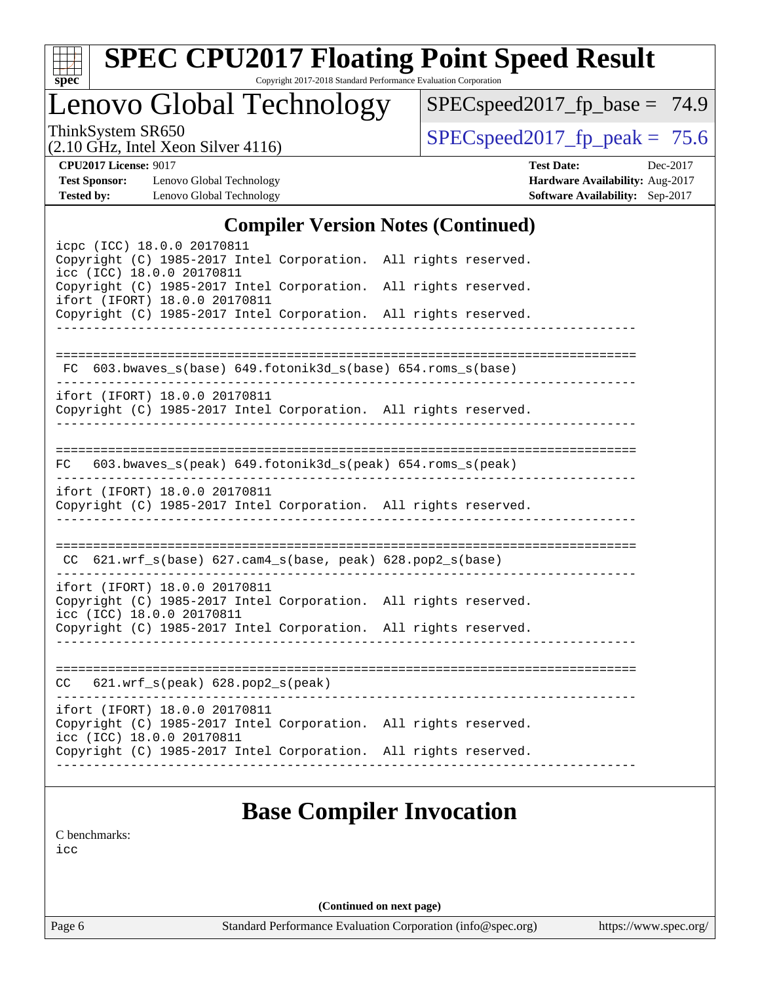| x<br>t.<br>L |  |  |  |  |  |
|--------------|--|--|--|--|--|

# **[SPEC CPU2017 Floating Point Speed Result](http://www.spec.org/auto/cpu2017/Docs/result-fields.html#SPECCPU2017FloatingPointSpeedResult)**

Copyright 2017-2018 Standard Performance Evaluation Corporation

Lenovo Global Technology

[SPECspeed2017\\_fp\\_base =](http://www.spec.org/auto/cpu2017/Docs/result-fields.html#SPECspeed2017fpbase) 74.9

(2.10 GHz, Intel Xeon Silver 4116)

ThinkSystem SR650<br>  $(2.10 \text{ GHz. Intel Year } 4116)$  [SPECspeed2017\\_fp\\_peak =](http://www.spec.org/auto/cpu2017/Docs/result-fields.html#SPECspeed2017fppeak) 75.6

**[Test Sponsor:](http://www.spec.org/auto/cpu2017/Docs/result-fields.html#TestSponsor)** Lenovo Global Technology **[Hardware Availability:](http://www.spec.org/auto/cpu2017/Docs/result-fields.html#HardwareAvailability)** Aug-2017 **[Tested by:](http://www.spec.org/auto/cpu2017/Docs/result-fields.html#Testedby)** Lenovo Global Technology **[Software Availability:](http://www.spec.org/auto/cpu2017/Docs/result-fields.html#SoftwareAvailability)** Sep-2017

**[CPU2017 License:](http://www.spec.org/auto/cpu2017/Docs/result-fields.html#CPU2017License)** 9017 **[Test Date:](http://www.spec.org/auto/cpu2017/Docs/result-fields.html#TestDate)** Dec-2017

#### **[Compiler Version Notes \(Continued\)](http://www.spec.org/auto/cpu2017/Docs/result-fields.html#CompilerVersionNotes)**

| icpc (ICC) 18.0.0 20170811<br>Copyright (C) 1985-2017 Intel Corporation. All rights reserved.<br>icc (ICC) 18.0.0 20170811<br>Copyright (C) 1985-2017 Intel Corporation. All rights reserved.<br>ifort (IFORT) 18.0.0 20170811<br>Copyright (C) 1985-2017 Intel Corporation. All rights reserved. |                                        |  |
|---------------------------------------------------------------------------------------------------------------------------------------------------------------------------------------------------------------------------------------------------------------------------------------------------|----------------------------------------|--|
| FC 603.bwaves_s(base) 649.fotonik3d_s(base) 654.roms_s(base)                                                                                                                                                                                                                                      |                                        |  |
| ifort (IFORT) 18.0.0 20170811<br>Copyright (C) 1985-2017 Intel Corporation. All rights reserved.                                                                                                                                                                                                  | ________________________               |  |
| FC 603.bwaves_s(peak) 649.fotonik3d_s(peak) 654.roms_s(peak)                                                                                                                                                                                                                                      |                                        |  |
| ifort (IFORT) 18.0.0 20170811<br>Copyright (C) 1985-2017 Intel Corporation. All rights reserved.                                                                                                                                                                                                  | ______________________________________ |  |
| $CC$ 621.wrf_s(base) 627.cam4_s(base, peak) 628.pop2_s(base)                                                                                                                                                                                                                                      |                                        |  |
| ifort (IFORT) 18.0.0 20170811<br>Copyright (C) 1985-2017 Intel Corporation. All rights reserved.<br>icc (ICC) 18.0.0 20170811                                                                                                                                                                     |                                        |  |
| Copyright (C) 1985-2017 Intel Corporation. All rights reserved.                                                                                                                                                                                                                                   |                                        |  |
| $CC$ 621.wrf_s(peak) 628.pop2_s(peak)                                                                                                                                                                                                                                                             |                                        |  |
| ifort (IFORT) 18.0.0 20170811<br>Copyright (C) 1985-2017 Intel Corporation. All rights reserved.<br>icc (ICC) 18.0.0 20170811<br>Copyright (C) 1985-2017 Intel Corporation. All rights reserved.                                                                                                  |                                        |  |
|                                                                                                                                                                                                                                                                                                   |                                        |  |

### **[Base Compiler Invocation](http://www.spec.org/auto/cpu2017/Docs/result-fields.html#BaseCompilerInvocation)**

[C benchmarks](http://www.spec.org/auto/cpu2017/Docs/result-fields.html#Cbenchmarks):

[icc](http://www.spec.org/cpu2017/results/res2018q1/cpu2017-20171225-02098.flags.html#user_CCbase_intel_icc_18.0_66fc1ee009f7361af1fbd72ca7dcefbb700085f36577c54f309893dd4ec40d12360134090235512931783d35fd58c0460139e722d5067c5574d8eaf2b3e37e92)

**(Continued on next page)**

Page 6 Standard Performance Evaluation Corporation [\(info@spec.org\)](mailto:info@spec.org) <https://www.spec.org/>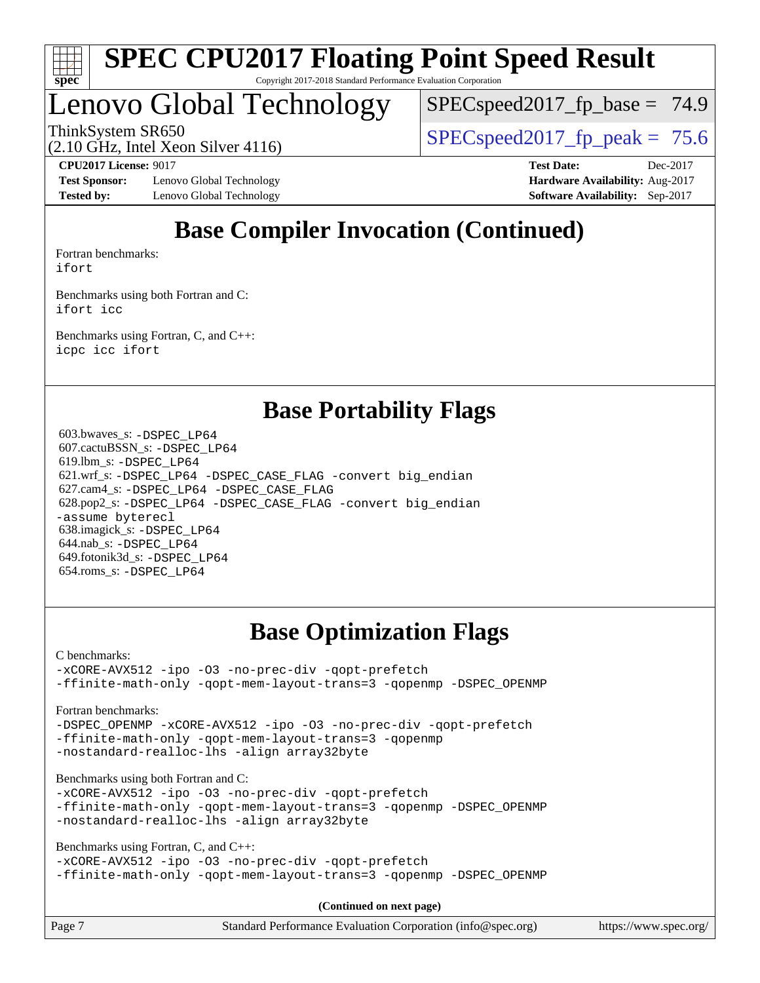

### Lenovo Global Technology

 $SPECspeed2017<sub>fp</sub> base = 74.9$ 

ThinkSystem SR650<br>  $\begin{array}{|l|l|}\n\hline\n\text{ShinkSystem} & \text{Sty}_\text{SPEC} & \text{SPEC speed2017\_fp\_peak} = 75.6\n\hline\n\end{array}$ 

(2.10 GHz, Intel Xeon Silver 4116)

**[Test Sponsor:](http://www.spec.org/auto/cpu2017/Docs/result-fields.html#TestSponsor)** Lenovo Global Technology **[Hardware Availability:](http://www.spec.org/auto/cpu2017/Docs/result-fields.html#HardwareAvailability)** Aug-2017 **[Tested by:](http://www.spec.org/auto/cpu2017/Docs/result-fields.html#Testedby)** Lenovo Global Technology **[Software Availability:](http://www.spec.org/auto/cpu2017/Docs/result-fields.html#SoftwareAvailability)** Sep-2017

**[CPU2017 License:](http://www.spec.org/auto/cpu2017/Docs/result-fields.html#CPU2017License)** 9017 **[Test Date:](http://www.spec.org/auto/cpu2017/Docs/result-fields.html#TestDate)** Dec-2017

### **[Base Compiler Invocation \(Continued\)](http://www.spec.org/auto/cpu2017/Docs/result-fields.html#BaseCompilerInvocation)**

[Fortran benchmarks](http://www.spec.org/auto/cpu2017/Docs/result-fields.html#Fortranbenchmarks): [ifort](http://www.spec.org/cpu2017/results/res2018q1/cpu2017-20171225-02098.flags.html#user_FCbase_intel_ifort_18.0_8111460550e3ca792625aed983ce982f94888b8b503583aa7ba2b8303487b4d8a21a13e7191a45c5fd58ff318f48f9492884d4413fa793fd88dd292cad7027ca)

[Benchmarks using both Fortran and C](http://www.spec.org/auto/cpu2017/Docs/result-fields.html#BenchmarksusingbothFortranandC): [ifort](http://www.spec.org/cpu2017/results/res2018q1/cpu2017-20171225-02098.flags.html#user_CC_FCbase_intel_ifort_18.0_8111460550e3ca792625aed983ce982f94888b8b503583aa7ba2b8303487b4d8a21a13e7191a45c5fd58ff318f48f9492884d4413fa793fd88dd292cad7027ca) [icc](http://www.spec.org/cpu2017/results/res2018q1/cpu2017-20171225-02098.flags.html#user_CC_FCbase_intel_icc_18.0_66fc1ee009f7361af1fbd72ca7dcefbb700085f36577c54f309893dd4ec40d12360134090235512931783d35fd58c0460139e722d5067c5574d8eaf2b3e37e92)

[Benchmarks using Fortran, C, and C++:](http://www.spec.org/auto/cpu2017/Docs/result-fields.html#BenchmarksusingFortranCandCXX) [icpc](http://www.spec.org/cpu2017/results/res2018q1/cpu2017-20171225-02098.flags.html#user_CC_CXX_FCbase_intel_icpc_18.0_c510b6838c7f56d33e37e94d029a35b4a7bccf4766a728ee175e80a419847e808290a9b78be685c44ab727ea267ec2f070ec5dc83b407c0218cded6866a35d07) [icc](http://www.spec.org/cpu2017/results/res2018q1/cpu2017-20171225-02098.flags.html#user_CC_CXX_FCbase_intel_icc_18.0_66fc1ee009f7361af1fbd72ca7dcefbb700085f36577c54f309893dd4ec40d12360134090235512931783d35fd58c0460139e722d5067c5574d8eaf2b3e37e92) [ifort](http://www.spec.org/cpu2017/results/res2018q1/cpu2017-20171225-02098.flags.html#user_CC_CXX_FCbase_intel_ifort_18.0_8111460550e3ca792625aed983ce982f94888b8b503583aa7ba2b8303487b4d8a21a13e7191a45c5fd58ff318f48f9492884d4413fa793fd88dd292cad7027ca)

### **[Base Portability Flags](http://www.spec.org/auto/cpu2017/Docs/result-fields.html#BasePortabilityFlags)**

 603.bwaves\_s: [-DSPEC\\_LP64](http://www.spec.org/cpu2017/results/res2018q1/cpu2017-20171225-02098.flags.html#suite_basePORTABILITY603_bwaves_s_DSPEC_LP64) 607.cactuBSSN\_s: [-DSPEC\\_LP64](http://www.spec.org/cpu2017/results/res2018q1/cpu2017-20171225-02098.flags.html#suite_basePORTABILITY607_cactuBSSN_s_DSPEC_LP64) 619.lbm\_s: [-DSPEC\\_LP64](http://www.spec.org/cpu2017/results/res2018q1/cpu2017-20171225-02098.flags.html#suite_basePORTABILITY619_lbm_s_DSPEC_LP64) 621.wrf\_s: [-DSPEC\\_LP64](http://www.spec.org/cpu2017/results/res2018q1/cpu2017-20171225-02098.flags.html#suite_basePORTABILITY621_wrf_s_DSPEC_LP64) [-DSPEC\\_CASE\\_FLAG](http://www.spec.org/cpu2017/results/res2018q1/cpu2017-20171225-02098.flags.html#b621.wrf_s_baseCPORTABILITY_DSPEC_CASE_FLAG) [-convert big\\_endian](http://www.spec.org/cpu2017/results/res2018q1/cpu2017-20171225-02098.flags.html#user_baseFPORTABILITY621_wrf_s_convert_big_endian_c3194028bc08c63ac5d04de18c48ce6d347e4e562e8892b8bdbdc0214820426deb8554edfa529a3fb25a586e65a3d812c835984020483e7e73212c4d31a38223) 627.cam4\_s: [-DSPEC\\_LP64](http://www.spec.org/cpu2017/results/res2018q1/cpu2017-20171225-02098.flags.html#suite_basePORTABILITY627_cam4_s_DSPEC_LP64) [-DSPEC\\_CASE\\_FLAG](http://www.spec.org/cpu2017/results/res2018q1/cpu2017-20171225-02098.flags.html#b627.cam4_s_baseCPORTABILITY_DSPEC_CASE_FLAG) 628.pop2\_s: [-DSPEC\\_LP64](http://www.spec.org/cpu2017/results/res2018q1/cpu2017-20171225-02098.flags.html#suite_basePORTABILITY628_pop2_s_DSPEC_LP64) [-DSPEC\\_CASE\\_FLAG](http://www.spec.org/cpu2017/results/res2018q1/cpu2017-20171225-02098.flags.html#b628.pop2_s_baseCPORTABILITY_DSPEC_CASE_FLAG) [-convert big\\_endian](http://www.spec.org/cpu2017/results/res2018q1/cpu2017-20171225-02098.flags.html#user_baseFPORTABILITY628_pop2_s_convert_big_endian_c3194028bc08c63ac5d04de18c48ce6d347e4e562e8892b8bdbdc0214820426deb8554edfa529a3fb25a586e65a3d812c835984020483e7e73212c4d31a38223) [-assume byterecl](http://www.spec.org/cpu2017/results/res2018q1/cpu2017-20171225-02098.flags.html#user_baseFPORTABILITY628_pop2_s_assume_byterecl_7e47d18b9513cf18525430bbf0f2177aa9bf368bc7a059c09b2c06a34b53bd3447c950d3f8d6c70e3faf3a05c8557d66a5798b567902e8849adc142926523472) 638.imagick\_s: [-DSPEC\\_LP64](http://www.spec.org/cpu2017/results/res2018q1/cpu2017-20171225-02098.flags.html#suite_basePORTABILITY638_imagick_s_DSPEC_LP64) 644.nab\_s: [-DSPEC\\_LP64](http://www.spec.org/cpu2017/results/res2018q1/cpu2017-20171225-02098.flags.html#suite_basePORTABILITY644_nab_s_DSPEC_LP64) 649.fotonik3d\_s: [-DSPEC\\_LP64](http://www.spec.org/cpu2017/results/res2018q1/cpu2017-20171225-02098.flags.html#suite_basePORTABILITY649_fotonik3d_s_DSPEC_LP64) 654.roms\_s: [-DSPEC\\_LP64](http://www.spec.org/cpu2017/results/res2018q1/cpu2017-20171225-02098.flags.html#suite_basePORTABILITY654_roms_s_DSPEC_LP64)

### **[Base Optimization Flags](http://www.spec.org/auto/cpu2017/Docs/result-fields.html#BaseOptimizationFlags)**

[C benchmarks](http://www.spec.org/auto/cpu2017/Docs/result-fields.html#Cbenchmarks):

[-xCORE-AVX512](http://www.spec.org/cpu2017/results/res2018q1/cpu2017-20171225-02098.flags.html#user_CCbase_f-xCORE-AVX512) [-ipo](http://www.spec.org/cpu2017/results/res2018q1/cpu2017-20171225-02098.flags.html#user_CCbase_f-ipo) [-O3](http://www.spec.org/cpu2017/results/res2018q1/cpu2017-20171225-02098.flags.html#user_CCbase_f-O3) [-no-prec-div](http://www.spec.org/cpu2017/results/res2018q1/cpu2017-20171225-02098.flags.html#user_CCbase_f-no-prec-div) [-qopt-prefetch](http://www.spec.org/cpu2017/results/res2018q1/cpu2017-20171225-02098.flags.html#user_CCbase_f-qopt-prefetch) [-ffinite-math-only](http://www.spec.org/cpu2017/results/res2018q1/cpu2017-20171225-02098.flags.html#user_CCbase_f_finite_math_only_cb91587bd2077682c4b38af759c288ed7c732db004271a9512da14a4f8007909a5f1427ecbf1a0fb78ff2a814402c6114ac565ca162485bbcae155b5e4258871) [-qopt-mem-layout-trans=3](http://www.spec.org/cpu2017/results/res2018q1/cpu2017-20171225-02098.flags.html#user_CCbase_f-qopt-mem-layout-trans_de80db37974c74b1f0e20d883f0b675c88c3b01e9d123adea9b28688d64333345fb62bc4a798493513fdb68f60282f9a726aa07f478b2f7113531aecce732043) [-qopenmp](http://www.spec.org/cpu2017/results/res2018q1/cpu2017-20171225-02098.flags.html#user_CCbase_qopenmp_16be0c44f24f464004c6784a7acb94aca937f053568ce72f94b139a11c7c168634a55f6653758ddd83bcf7b8463e8028bb0b48b77bcddc6b78d5d95bb1df2967) [-DSPEC\\_OPENMP](http://www.spec.org/cpu2017/results/res2018q1/cpu2017-20171225-02098.flags.html#suite_CCbase_DSPEC_OPENMP)

[Fortran benchmarks](http://www.spec.org/auto/cpu2017/Docs/result-fields.html#Fortranbenchmarks):

[-DSPEC\\_OPENMP](http://www.spec.org/cpu2017/results/res2018q1/cpu2017-20171225-02098.flags.html#suite_FCbase_DSPEC_OPENMP) [-xCORE-AVX512](http://www.spec.org/cpu2017/results/res2018q1/cpu2017-20171225-02098.flags.html#user_FCbase_f-xCORE-AVX512) [-ipo](http://www.spec.org/cpu2017/results/res2018q1/cpu2017-20171225-02098.flags.html#user_FCbase_f-ipo) [-O3](http://www.spec.org/cpu2017/results/res2018q1/cpu2017-20171225-02098.flags.html#user_FCbase_f-O3) [-no-prec-div](http://www.spec.org/cpu2017/results/res2018q1/cpu2017-20171225-02098.flags.html#user_FCbase_f-no-prec-div) [-qopt-prefetch](http://www.spec.org/cpu2017/results/res2018q1/cpu2017-20171225-02098.flags.html#user_FCbase_f-qopt-prefetch) [-ffinite-math-only](http://www.spec.org/cpu2017/results/res2018q1/cpu2017-20171225-02098.flags.html#user_FCbase_f_finite_math_only_cb91587bd2077682c4b38af759c288ed7c732db004271a9512da14a4f8007909a5f1427ecbf1a0fb78ff2a814402c6114ac565ca162485bbcae155b5e4258871) [-qopt-mem-layout-trans=3](http://www.spec.org/cpu2017/results/res2018q1/cpu2017-20171225-02098.flags.html#user_FCbase_f-qopt-mem-layout-trans_de80db37974c74b1f0e20d883f0b675c88c3b01e9d123adea9b28688d64333345fb62bc4a798493513fdb68f60282f9a726aa07f478b2f7113531aecce732043) [-qopenmp](http://www.spec.org/cpu2017/results/res2018q1/cpu2017-20171225-02098.flags.html#user_FCbase_qopenmp_16be0c44f24f464004c6784a7acb94aca937f053568ce72f94b139a11c7c168634a55f6653758ddd83bcf7b8463e8028bb0b48b77bcddc6b78d5d95bb1df2967) [-nostandard-realloc-lhs](http://www.spec.org/cpu2017/results/res2018q1/cpu2017-20171225-02098.flags.html#user_FCbase_f_2003_std_realloc_82b4557e90729c0f113870c07e44d33d6f5a304b4f63d4c15d2d0f1fab99f5daaed73bdb9275d9ae411527f28b936061aa8b9c8f2d63842963b95c9dd6426b8a) [-align array32byte](http://www.spec.org/cpu2017/results/res2018q1/cpu2017-20171225-02098.flags.html#user_FCbase_align_array32byte_b982fe038af199962ba9a80c053b8342c548c85b40b8e86eb3cc33dee0d7986a4af373ac2d51c3f7cf710a18d62fdce2948f201cd044323541f22fc0fffc51b6)

[Benchmarks using both Fortran and C](http://www.spec.org/auto/cpu2017/Docs/result-fields.html#BenchmarksusingbothFortranandC):

[-xCORE-AVX512](http://www.spec.org/cpu2017/results/res2018q1/cpu2017-20171225-02098.flags.html#user_CC_FCbase_f-xCORE-AVX512) [-ipo](http://www.spec.org/cpu2017/results/res2018q1/cpu2017-20171225-02098.flags.html#user_CC_FCbase_f-ipo) [-O3](http://www.spec.org/cpu2017/results/res2018q1/cpu2017-20171225-02098.flags.html#user_CC_FCbase_f-O3) [-no-prec-div](http://www.spec.org/cpu2017/results/res2018q1/cpu2017-20171225-02098.flags.html#user_CC_FCbase_f-no-prec-div) [-qopt-prefetch](http://www.spec.org/cpu2017/results/res2018q1/cpu2017-20171225-02098.flags.html#user_CC_FCbase_f-qopt-prefetch) [-ffinite-math-only](http://www.spec.org/cpu2017/results/res2018q1/cpu2017-20171225-02098.flags.html#user_CC_FCbase_f_finite_math_only_cb91587bd2077682c4b38af759c288ed7c732db004271a9512da14a4f8007909a5f1427ecbf1a0fb78ff2a814402c6114ac565ca162485bbcae155b5e4258871) [-qopt-mem-layout-trans=3](http://www.spec.org/cpu2017/results/res2018q1/cpu2017-20171225-02098.flags.html#user_CC_FCbase_f-qopt-mem-layout-trans_de80db37974c74b1f0e20d883f0b675c88c3b01e9d123adea9b28688d64333345fb62bc4a798493513fdb68f60282f9a726aa07f478b2f7113531aecce732043) [-qopenmp](http://www.spec.org/cpu2017/results/res2018q1/cpu2017-20171225-02098.flags.html#user_CC_FCbase_qopenmp_16be0c44f24f464004c6784a7acb94aca937f053568ce72f94b139a11c7c168634a55f6653758ddd83bcf7b8463e8028bb0b48b77bcddc6b78d5d95bb1df2967) [-DSPEC\\_OPENMP](http://www.spec.org/cpu2017/results/res2018q1/cpu2017-20171225-02098.flags.html#suite_CC_FCbase_DSPEC_OPENMP) [-nostandard-realloc-lhs](http://www.spec.org/cpu2017/results/res2018q1/cpu2017-20171225-02098.flags.html#user_CC_FCbase_f_2003_std_realloc_82b4557e90729c0f113870c07e44d33d6f5a304b4f63d4c15d2d0f1fab99f5daaed73bdb9275d9ae411527f28b936061aa8b9c8f2d63842963b95c9dd6426b8a) [-align array32byte](http://www.spec.org/cpu2017/results/res2018q1/cpu2017-20171225-02098.flags.html#user_CC_FCbase_align_array32byte_b982fe038af199962ba9a80c053b8342c548c85b40b8e86eb3cc33dee0d7986a4af373ac2d51c3f7cf710a18d62fdce2948f201cd044323541f22fc0fffc51b6)

[Benchmarks using Fortran, C, and C++:](http://www.spec.org/auto/cpu2017/Docs/result-fields.html#BenchmarksusingFortranCandCXX)

```
-xCORE-AVX512 -ipo -O3 -no-prec-div -qopt-prefetch
-ffinite-math-only -qopt-mem-layout-trans=3 -qopenmp -DSPEC_OPENMP
```
**(Continued on next page)**

| Page 7 | Standard Performance Evaluation Corporation (info@spec.org) | https://www.spec.org/ |
|--------|-------------------------------------------------------------|-----------------------|
|--------|-------------------------------------------------------------|-----------------------|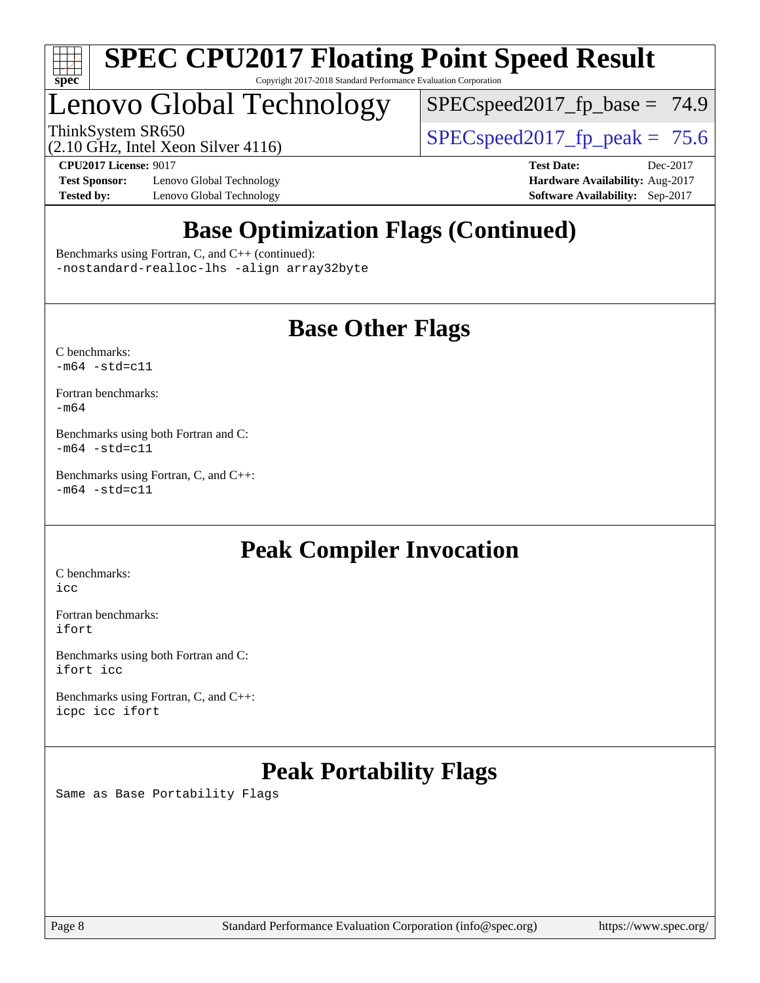

## Lenovo Global Technology

 $SPEC speed2017_fp\_base = 74.9$ 

ThinkSystem SR650<br>  $\angle Q$  10 GHz, Intel Year Silver 4116

(2.10 GHz, Intel Xeon Silver 4116)

**[Test Sponsor:](http://www.spec.org/auto/cpu2017/Docs/result-fields.html#TestSponsor)** Lenovo Global Technology **[Hardware Availability:](http://www.spec.org/auto/cpu2017/Docs/result-fields.html#HardwareAvailability)** Aug-2017 **[Tested by:](http://www.spec.org/auto/cpu2017/Docs/result-fields.html#Testedby)** Lenovo Global Technology **[Software Availability:](http://www.spec.org/auto/cpu2017/Docs/result-fields.html#SoftwareAvailability)** Sep-2017

**[CPU2017 License:](http://www.spec.org/auto/cpu2017/Docs/result-fields.html#CPU2017License)** 9017 **[Test Date:](http://www.spec.org/auto/cpu2017/Docs/result-fields.html#TestDate)** Dec-2017

### **[Base Optimization Flags \(Continued\)](http://www.spec.org/auto/cpu2017/Docs/result-fields.html#BaseOptimizationFlags)**

[Benchmarks using Fortran, C, and C++](http://www.spec.org/auto/cpu2017/Docs/result-fields.html#BenchmarksusingFortranCandCXX) (continued): [-nostandard-realloc-lhs](http://www.spec.org/cpu2017/results/res2018q1/cpu2017-20171225-02098.flags.html#user_CC_CXX_FCbase_f_2003_std_realloc_82b4557e90729c0f113870c07e44d33d6f5a304b4f63d4c15d2d0f1fab99f5daaed73bdb9275d9ae411527f28b936061aa8b9c8f2d63842963b95c9dd6426b8a) [-align array32byte](http://www.spec.org/cpu2017/results/res2018q1/cpu2017-20171225-02098.flags.html#user_CC_CXX_FCbase_align_array32byte_b982fe038af199962ba9a80c053b8342c548c85b40b8e86eb3cc33dee0d7986a4af373ac2d51c3f7cf710a18d62fdce2948f201cd044323541f22fc0fffc51b6)

### **[Base Other Flags](http://www.spec.org/auto/cpu2017/Docs/result-fields.html#BaseOtherFlags)**

[C benchmarks](http://www.spec.org/auto/cpu2017/Docs/result-fields.html#Cbenchmarks):  $-m64 - std= c11$  $-m64 - std= c11$ 

[Fortran benchmarks](http://www.spec.org/auto/cpu2017/Docs/result-fields.html#Fortranbenchmarks): [-m64](http://www.spec.org/cpu2017/results/res2018q1/cpu2017-20171225-02098.flags.html#user_FCbase_intel_intel64_18.0_af43caccfc8ded86e7699f2159af6efc7655f51387b94da716254467f3c01020a5059329e2569e4053f409e7c9202a7efc638f7a6d1ffb3f52dea4a3e31d82ab)

[Benchmarks using both Fortran and C](http://www.spec.org/auto/cpu2017/Docs/result-fields.html#BenchmarksusingbothFortranandC):  $-m64 - std = c11$  $-m64 - std = c11$ 

[Benchmarks using Fortran, C, and C++:](http://www.spec.org/auto/cpu2017/Docs/result-fields.html#BenchmarksusingFortranCandCXX)  $-m64 - std = c11$  $-m64 - std = c11$ 

### **[Peak Compiler Invocation](http://www.spec.org/auto/cpu2017/Docs/result-fields.html#PeakCompilerInvocation)**

[C benchmarks](http://www.spec.org/auto/cpu2017/Docs/result-fields.html#Cbenchmarks): [icc](http://www.spec.org/cpu2017/results/res2018q1/cpu2017-20171225-02098.flags.html#user_CCpeak_intel_icc_18.0_66fc1ee009f7361af1fbd72ca7dcefbb700085f36577c54f309893dd4ec40d12360134090235512931783d35fd58c0460139e722d5067c5574d8eaf2b3e37e92)

[Fortran benchmarks](http://www.spec.org/auto/cpu2017/Docs/result-fields.html#Fortranbenchmarks): [ifort](http://www.spec.org/cpu2017/results/res2018q1/cpu2017-20171225-02098.flags.html#user_FCpeak_intel_ifort_18.0_8111460550e3ca792625aed983ce982f94888b8b503583aa7ba2b8303487b4d8a21a13e7191a45c5fd58ff318f48f9492884d4413fa793fd88dd292cad7027ca)

[Benchmarks using both Fortran and C](http://www.spec.org/auto/cpu2017/Docs/result-fields.html#BenchmarksusingbothFortranandC): [ifort](http://www.spec.org/cpu2017/results/res2018q1/cpu2017-20171225-02098.flags.html#user_CC_FCpeak_intel_ifort_18.0_8111460550e3ca792625aed983ce982f94888b8b503583aa7ba2b8303487b4d8a21a13e7191a45c5fd58ff318f48f9492884d4413fa793fd88dd292cad7027ca) [icc](http://www.spec.org/cpu2017/results/res2018q1/cpu2017-20171225-02098.flags.html#user_CC_FCpeak_intel_icc_18.0_66fc1ee009f7361af1fbd72ca7dcefbb700085f36577c54f309893dd4ec40d12360134090235512931783d35fd58c0460139e722d5067c5574d8eaf2b3e37e92)

[Benchmarks using Fortran, C, and C++:](http://www.spec.org/auto/cpu2017/Docs/result-fields.html#BenchmarksusingFortranCandCXX) [icpc](http://www.spec.org/cpu2017/results/res2018q1/cpu2017-20171225-02098.flags.html#user_CC_CXX_FCpeak_intel_icpc_18.0_c510b6838c7f56d33e37e94d029a35b4a7bccf4766a728ee175e80a419847e808290a9b78be685c44ab727ea267ec2f070ec5dc83b407c0218cded6866a35d07) [icc](http://www.spec.org/cpu2017/results/res2018q1/cpu2017-20171225-02098.flags.html#user_CC_CXX_FCpeak_intel_icc_18.0_66fc1ee009f7361af1fbd72ca7dcefbb700085f36577c54f309893dd4ec40d12360134090235512931783d35fd58c0460139e722d5067c5574d8eaf2b3e37e92) [ifort](http://www.spec.org/cpu2017/results/res2018q1/cpu2017-20171225-02098.flags.html#user_CC_CXX_FCpeak_intel_ifort_18.0_8111460550e3ca792625aed983ce982f94888b8b503583aa7ba2b8303487b4d8a21a13e7191a45c5fd58ff318f48f9492884d4413fa793fd88dd292cad7027ca)

### **[Peak Portability Flags](http://www.spec.org/auto/cpu2017/Docs/result-fields.html#PeakPortabilityFlags)**

Same as Base Portability Flags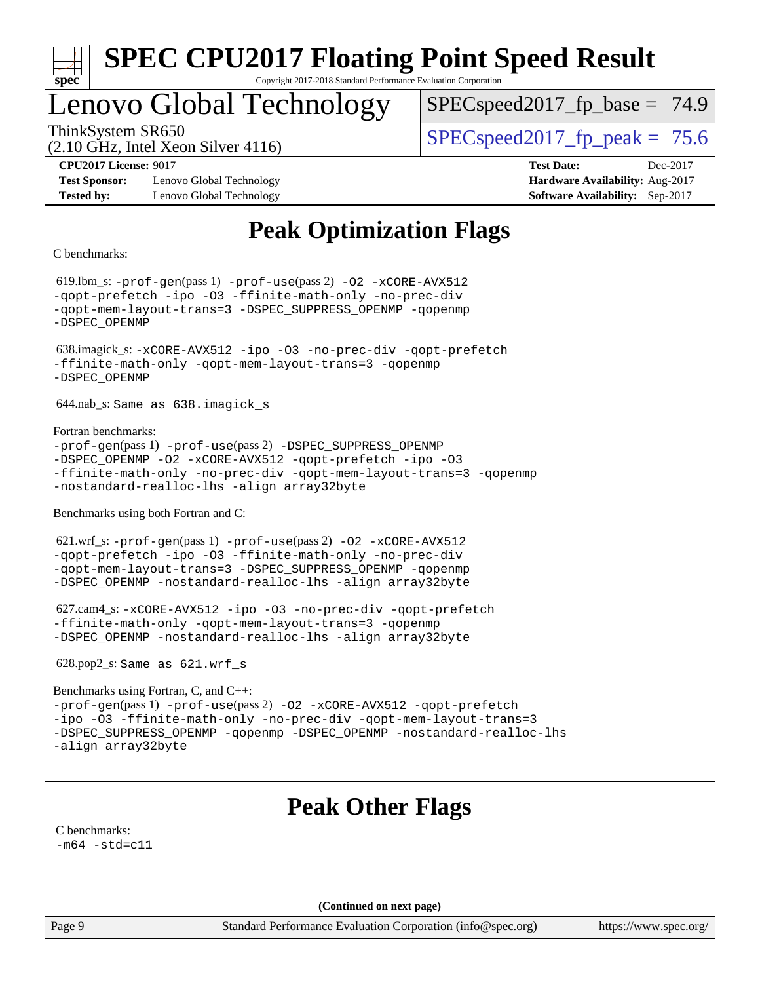

## Lenovo Global Technology

 $SPECspeed2017<sub>fp</sub> base = 74.9$ 

(2.10 GHz, Intel Xeon Silver 4116)

ThinkSystem SR650  $SPEC speed2017$  fp\_peak = 75.6

**[Test Sponsor:](http://www.spec.org/auto/cpu2017/Docs/result-fields.html#TestSponsor)** Lenovo Global Technology **[Hardware Availability:](http://www.spec.org/auto/cpu2017/Docs/result-fields.html#HardwareAvailability)** Aug-2017 **[Tested by:](http://www.spec.org/auto/cpu2017/Docs/result-fields.html#Testedby)** Lenovo Global Technology **[Software Availability:](http://www.spec.org/auto/cpu2017/Docs/result-fields.html#SoftwareAvailability)** Sep-2017

**[CPU2017 License:](http://www.spec.org/auto/cpu2017/Docs/result-fields.html#CPU2017License)** 9017 **[Test Date:](http://www.spec.org/auto/cpu2017/Docs/result-fields.html#TestDate)** Dec-2017

### **[Peak Optimization Flags](http://www.spec.org/auto/cpu2017/Docs/result-fields.html#PeakOptimizationFlags)**

[C benchmarks](http://www.spec.org/auto/cpu2017/Docs/result-fields.html#Cbenchmarks):

 619.lbm\_s: [-prof-gen](http://www.spec.org/cpu2017/results/res2018q1/cpu2017-20171225-02098.flags.html#user_peakPASS1_CFLAGSPASS1_LDFLAGS619_lbm_s_prof_gen_5aa4926d6013ddb2a31985c654b3eb18169fc0c6952a63635c234f711e6e63dd76e94ad52365559451ec499a2cdb89e4dc58ba4c67ef54ca681ffbe1461d6b36)(pass 1) [-prof-use](http://www.spec.org/cpu2017/results/res2018q1/cpu2017-20171225-02098.flags.html#user_peakPASS2_CFLAGSPASS2_LDFLAGS619_lbm_s_prof_use_1a21ceae95f36a2b53c25747139a6c16ca95bd9def2a207b4f0849963b97e94f5260e30a0c64f4bb623698870e679ca08317ef8150905d41bd88c6f78df73f19)(pass 2) [-O2](http://www.spec.org/cpu2017/results/res2018q1/cpu2017-20171225-02098.flags.html#user_peakPASS1_COPTIMIZE619_lbm_s_f-O2) [-xCORE-AVX512](http://www.spec.org/cpu2017/results/res2018q1/cpu2017-20171225-02098.flags.html#user_peakPASS2_COPTIMIZE619_lbm_s_f-xCORE-AVX512) [-qopt-prefetch](http://www.spec.org/cpu2017/results/res2018q1/cpu2017-20171225-02098.flags.html#user_peakPASS1_COPTIMIZEPASS2_COPTIMIZE619_lbm_s_f-qopt-prefetch) [-ipo](http://www.spec.org/cpu2017/results/res2018q1/cpu2017-20171225-02098.flags.html#user_peakPASS2_COPTIMIZE619_lbm_s_f-ipo) [-O3](http://www.spec.org/cpu2017/results/res2018q1/cpu2017-20171225-02098.flags.html#user_peakPASS2_COPTIMIZE619_lbm_s_f-O3) [-ffinite-math-only](http://www.spec.org/cpu2017/results/res2018q1/cpu2017-20171225-02098.flags.html#user_peakPASS1_COPTIMIZEPASS2_COPTIMIZE619_lbm_s_f_finite_math_only_cb91587bd2077682c4b38af759c288ed7c732db004271a9512da14a4f8007909a5f1427ecbf1a0fb78ff2a814402c6114ac565ca162485bbcae155b5e4258871) [-no-prec-div](http://www.spec.org/cpu2017/results/res2018q1/cpu2017-20171225-02098.flags.html#user_peakPASS2_COPTIMIZE619_lbm_s_f-no-prec-div) [-qopt-mem-layout-trans=3](http://www.spec.org/cpu2017/results/res2018q1/cpu2017-20171225-02098.flags.html#user_peakPASS1_COPTIMIZEPASS2_COPTIMIZE619_lbm_s_f-qopt-mem-layout-trans_de80db37974c74b1f0e20d883f0b675c88c3b01e9d123adea9b28688d64333345fb62bc4a798493513fdb68f60282f9a726aa07f478b2f7113531aecce732043) [-DSPEC\\_SUPPRESS\\_OPENMP](http://www.spec.org/cpu2017/results/res2018q1/cpu2017-20171225-02098.flags.html#suite_peakPASS1_COPTIMIZE619_lbm_s_DSPEC_SUPPRESS_OPENMP) [-qopenmp](http://www.spec.org/cpu2017/results/res2018q1/cpu2017-20171225-02098.flags.html#user_peakPASS2_COPTIMIZE619_lbm_s_qopenmp_16be0c44f24f464004c6784a7acb94aca937f053568ce72f94b139a11c7c168634a55f6653758ddd83bcf7b8463e8028bb0b48b77bcddc6b78d5d95bb1df2967) [-DSPEC\\_OPENMP](http://www.spec.org/cpu2017/results/res2018q1/cpu2017-20171225-02098.flags.html#suite_peakPASS2_COPTIMIZE619_lbm_s_DSPEC_OPENMP) 638.imagick\_s: [-xCORE-AVX512](http://www.spec.org/cpu2017/results/res2018q1/cpu2017-20171225-02098.flags.html#user_peakCOPTIMIZE638_imagick_s_f-xCORE-AVX512) [-ipo](http://www.spec.org/cpu2017/results/res2018q1/cpu2017-20171225-02098.flags.html#user_peakCOPTIMIZE638_imagick_s_f-ipo) [-O3](http://www.spec.org/cpu2017/results/res2018q1/cpu2017-20171225-02098.flags.html#user_peakCOPTIMIZE638_imagick_s_f-O3) [-no-prec-div](http://www.spec.org/cpu2017/results/res2018q1/cpu2017-20171225-02098.flags.html#user_peakCOPTIMIZE638_imagick_s_f-no-prec-div) [-qopt-prefetch](http://www.spec.org/cpu2017/results/res2018q1/cpu2017-20171225-02098.flags.html#user_peakCOPTIMIZE638_imagick_s_f-qopt-prefetch) [-ffinite-math-only](http://www.spec.org/cpu2017/results/res2018q1/cpu2017-20171225-02098.flags.html#user_peakCOPTIMIZE638_imagick_s_f_finite_math_only_cb91587bd2077682c4b38af759c288ed7c732db004271a9512da14a4f8007909a5f1427ecbf1a0fb78ff2a814402c6114ac565ca162485bbcae155b5e4258871) [-qopt-mem-layout-trans=3](http://www.spec.org/cpu2017/results/res2018q1/cpu2017-20171225-02098.flags.html#user_peakCOPTIMIZE638_imagick_s_f-qopt-mem-layout-trans_de80db37974c74b1f0e20d883f0b675c88c3b01e9d123adea9b28688d64333345fb62bc4a798493513fdb68f60282f9a726aa07f478b2f7113531aecce732043) [-qopenmp](http://www.spec.org/cpu2017/results/res2018q1/cpu2017-20171225-02098.flags.html#user_peakCOPTIMIZE638_imagick_s_qopenmp_16be0c44f24f464004c6784a7acb94aca937f053568ce72f94b139a11c7c168634a55f6653758ddd83bcf7b8463e8028bb0b48b77bcddc6b78d5d95bb1df2967) [-DSPEC\\_OPENMP](http://www.spec.org/cpu2017/results/res2018q1/cpu2017-20171225-02098.flags.html#suite_peakCOPTIMIZE638_imagick_s_DSPEC_OPENMP) 644.nab\_s: Same as 638.imagick\_s [Fortran benchmarks](http://www.spec.org/auto/cpu2017/Docs/result-fields.html#Fortranbenchmarks): [-prof-gen](http://www.spec.org/cpu2017/results/res2018q1/cpu2017-20171225-02098.flags.html#user_FCpeak_prof_gen_5aa4926d6013ddb2a31985c654b3eb18169fc0c6952a63635c234f711e6e63dd76e94ad52365559451ec499a2cdb89e4dc58ba4c67ef54ca681ffbe1461d6b36)(pass 1) [-prof-use](http://www.spec.org/cpu2017/results/res2018q1/cpu2017-20171225-02098.flags.html#user_FCpeak_prof_use_1a21ceae95f36a2b53c25747139a6c16ca95bd9def2a207b4f0849963b97e94f5260e30a0c64f4bb623698870e679ca08317ef8150905d41bd88c6f78df73f19)(pass 2) [-DSPEC\\_SUPPRESS\\_OPENMP](http://www.spec.org/cpu2017/results/res2018q1/cpu2017-20171225-02098.flags.html#suite_FCpeak_DSPEC_SUPPRESS_OPENMP) [-DSPEC\\_OPENMP](http://www.spec.org/cpu2017/results/res2018q1/cpu2017-20171225-02098.flags.html#suite_FCpeak_DSPEC_OPENMP) [-O2](http://www.spec.org/cpu2017/results/res2018q1/cpu2017-20171225-02098.flags.html#user_FCpeak_f-O2) [-xCORE-AVX512](http://www.spec.org/cpu2017/results/res2018q1/cpu2017-20171225-02098.flags.html#user_FCpeak_f-xCORE-AVX512) [-qopt-prefetch](http://www.spec.org/cpu2017/results/res2018q1/cpu2017-20171225-02098.flags.html#user_FCpeak_f-qopt-prefetch) [-ipo](http://www.spec.org/cpu2017/results/res2018q1/cpu2017-20171225-02098.flags.html#user_FCpeak_f-ipo) [-O3](http://www.spec.org/cpu2017/results/res2018q1/cpu2017-20171225-02098.flags.html#user_FCpeak_f-O3) [-ffinite-math-only](http://www.spec.org/cpu2017/results/res2018q1/cpu2017-20171225-02098.flags.html#user_FCpeak_f_finite_math_only_cb91587bd2077682c4b38af759c288ed7c732db004271a9512da14a4f8007909a5f1427ecbf1a0fb78ff2a814402c6114ac565ca162485bbcae155b5e4258871) [-no-prec-div](http://www.spec.org/cpu2017/results/res2018q1/cpu2017-20171225-02098.flags.html#user_FCpeak_f-no-prec-div) [-qopt-mem-layout-trans=3](http://www.spec.org/cpu2017/results/res2018q1/cpu2017-20171225-02098.flags.html#user_FCpeak_f-qopt-mem-layout-trans_de80db37974c74b1f0e20d883f0b675c88c3b01e9d123adea9b28688d64333345fb62bc4a798493513fdb68f60282f9a726aa07f478b2f7113531aecce732043) [-qopenmp](http://www.spec.org/cpu2017/results/res2018q1/cpu2017-20171225-02098.flags.html#user_FCpeak_qopenmp_16be0c44f24f464004c6784a7acb94aca937f053568ce72f94b139a11c7c168634a55f6653758ddd83bcf7b8463e8028bb0b48b77bcddc6b78d5d95bb1df2967) [-nostandard-realloc-lhs](http://www.spec.org/cpu2017/results/res2018q1/cpu2017-20171225-02098.flags.html#user_FCpeak_f_2003_std_realloc_82b4557e90729c0f113870c07e44d33d6f5a304b4f63d4c15d2d0f1fab99f5daaed73bdb9275d9ae411527f28b936061aa8b9c8f2d63842963b95c9dd6426b8a) [-align array32byte](http://www.spec.org/cpu2017/results/res2018q1/cpu2017-20171225-02098.flags.html#user_FCpeak_align_array32byte_b982fe038af199962ba9a80c053b8342c548c85b40b8e86eb3cc33dee0d7986a4af373ac2d51c3f7cf710a18d62fdce2948f201cd044323541f22fc0fffc51b6) [Benchmarks using both Fortran and C](http://www.spec.org/auto/cpu2017/Docs/result-fields.html#BenchmarksusingbothFortranandC): 621.wrf\_s: [-prof-gen](http://www.spec.org/cpu2017/results/res2018q1/cpu2017-20171225-02098.flags.html#user_peakPASS1_CFLAGSPASS1_FFLAGSPASS1_LDFLAGS621_wrf_s_prof_gen_5aa4926d6013ddb2a31985c654b3eb18169fc0c6952a63635c234f711e6e63dd76e94ad52365559451ec499a2cdb89e4dc58ba4c67ef54ca681ffbe1461d6b36)(pass 1) [-prof-use](http://www.spec.org/cpu2017/results/res2018q1/cpu2017-20171225-02098.flags.html#user_peakPASS2_CFLAGSPASS2_FFLAGSPASS2_LDFLAGS621_wrf_s_prof_use_1a21ceae95f36a2b53c25747139a6c16ca95bd9def2a207b4f0849963b97e94f5260e30a0c64f4bb623698870e679ca08317ef8150905d41bd88c6f78df73f19)(pass 2) [-O2](http://www.spec.org/cpu2017/results/res2018q1/cpu2017-20171225-02098.flags.html#user_peakPASS1_COPTIMIZEPASS1_FOPTIMIZE621_wrf_s_f-O2) [-xCORE-AVX512](http://www.spec.org/cpu2017/results/res2018q1/cpu2017-20171225-02098.flags.html#user_peakPASS2_COPTIMIZEPASS2_FOPTIMIZE621_wrf_s_f-xCORE-AVX512) [-qopt-prefetch](http://www.spec.org/cpu2017/results/res2018q1/cpu2017-20171225-02098.flags.html#user_peakPASS1_COPTIMIZEPASS1_FOPTIMIZEPASS2_COPTIMIZEPASS2_FOPTIMIZE621_wrf_s_f-qopt-prefetch) [-ipo](http://www.spec.org/cpu2017/results/res2018q1/cpu2017-20171225-02098.flags.html#user_peakPASS2_COPTIMIZEPASS2_FOPTIMIZE621_wrf_s_f-ipo) [-O3](http://www.spec.org/cpu2017/results/res2018q1/cpu2017-20171225-02098.flags.html#user_peakPASS2_COPTIMIZEPASS2_FOPTIMIZE621_wrf_s_f-O3) [-ffinite-math-only](http://www.spec.org/cpu2017/results/res2018q1/cpu2017-20171225-02098.flags.html#user_peakPASS1_COPTIMIZEPASS1_FOPTIMIZEPASS2_COPTIMIZEPASS2_FOPTIMIZE621_wrf_s_f_finite_math_only_cb91587bd2077682c4b38af759c288ed7c732db004271a9512da14a4f8007909a5f1427ecbf1a0fb78ff2a814402c6114ac565ca162485bbcae155b5e4258871) [-no-prec-div](http://www.spec.org/cpu2017/results/res2018q1/cpu2017-20171225-02098.flags.html#user_peakPASS2_COPTIMIZEPASS2_FOPTIMIZE621_wrf_s_f-no-prec-div) [-qopt-mem-layout-trans=3](http://www.spec.org/cpu2017/results/res2018q1/cpu2017-20171225-02098.flags.html#user_peakPASS1_COPTIMIZEPASS1_FOPTIMIZEPASS2_COPTIMIZEPASS2_FOPTIMIZE621_wrf_s_f-qopt-mem-layout-trans_de80db37974c74b1f0e20d883f0b675c88c3b01e9d123adea9b28688d64333345fb62bc4a798493513fdb68f60282f9a726aa07f478b2f7113531aecce732043) [-DSPEC\\_SUPPRESS\\_OPENMP](http://www.spec.org/cpu2017/results/res2018q1/cpu2017-20171225-02098.flags.html#suite_peakPASS1_COPTIMIZEPASS1_FOPTIMIZE621_wrf_s_DSPEC_SUPPRESS_OPENMP) [-qopenmp](http://www.spec.org/cpu2017/results/res2018q1/cpu2017-20171225-02098.flags.html#user_peakPASS2_COPTIMIZEPASS2_FOPTIMIZE621_wrf_s_qopenmp_16be0c44f24f464004c6784a7acb94aca937f053568ce72f94b139a11c7c168634a55f6653758ddd83bcf7b8463e8028bb0b48b77bcddc6b78d5d95bb1df2967) [-DSPEC\\_OPENMP](http://www.spec.org/cpu2017/results/res2018q1/cpu2017-20171225-02098.flags.html#suite_peakPASS2_COPTIMIZEPASS2_FOPTIMIZE621_wrf_s_DSPEC_OPENMP) [-nostandard-realloc-lhs](http://www.spec.org/cpu2017/results/res2018q1/cpu2017-20171225-02098.flags.html#user_peakEXTRA_FOPTIMIZE621_wrf_s_f_2003_std_realloc_82b4557e90729c0f113870c07e44d33d6f5a304b4f63d4c15d2d0f1fab99f5daaed73bdb9275d9ae411527f28b936061aa8b9c8f2d63842963b95c9dd6426b8a) [-align array32byte](http://www.spec.org/cpu2017/results/res2018q1/cpu2017-20171225-02098.flags.html#user_peakEXTRA_FOPTIMIZE621_wrf_s_align_array32byte_b982fe038af199962ba9a80c053b8342c548c85b40b8e86eb3cc33dee0d7986a4af373ac2d51c3f7cf710a18d62fdce2948f201cd044323541f22fc0fffc51b6) 627.cam4\_s: [-xCORE-AVX512](http://www.spec.org/cpu2017/results/res2018q1/cpu2017-20171225-02098.flags.html#user_peakCOPTIMIZEFOPTIMIZE627_cam4_s_f-xCORE-AVX512) [-ipo](http://www.spec.org/cpu2017/results/res2018q1/cpu2017-20171225-02098.flags.html#user_peakCOPTIMIZEFOPTIMIZE627_cam4_s_f-ipo) [-O3](http://www.spec.org/cpu2017/results/res2018q1/cpu2017-20171225-02098.flags.html#user_peakCOPTIMIZEFOPTIMIZE627_cam4_s_f-O3) [-no-prec-div](http://www.spec.org/cpu2017/results/res2018q1/cpu2017-20171225-02098.flags.html#user_peakCOPTIMIZEFOPTIMIZE627_cam4_s_f-no-prec-div) [-qopt-prefetch](http://www.spec.org/cpu2017/results/res2018q1/cpu2017-20171225-02098.flags.html#user_peakCOPTIMIZEFOPTIMIZE627_cam4_s_f-qopt-prefetch) [-ffinite-math-only](http://www.spec.org/cpu2017/results/res2018q1/cpu2017-20171225-02098.flags.html#user_peakCOPTIMIZEFOPTIMIZE627_cam4_s_f_finite_math_only_cb91587bd2077682c4b38af759c288ed7c732db004271a9512da14a4f8007909a5f1427ecbf1a0fb78ff2a814402c6114ac565ca162485bbcae155b5e4258871) [-qopt-mem-layout-trans=3](http://www.spec.org/cpu2017/results/res2018q1/cpu2017-20171225-02098.flags.html#user_peakCOPTIMIZEFOPTIMIZE627_cam4_s_f-qopt-mem-layout-trans_de80db37974c74b1f0e20d883f0b675c88c3b01e9d123adea9b28688d64333345fb62bc4a798493513fdb68f60282f9a726aa07f478b2f7113531aecce732043) [-qopenmp](http://www.spec.org/cpu2017/results/res2018q1/cpu2017-20171225-02098.flags.html#user_peakCOPTIMIZEFOPTIMIZE627_cam4_s_qopenmp_16be0c44f24f464004c6784a7acb94aca937f053568ce72f94b139a11c7c168634a55f6653758ddd83bcf7b8463e8028bb0b48b77bcddc6b78d5d95bb1df2967) [-DSPEC\\_OPENMP](http://www.spec.org/cpu2017/results/res2018q1/cpu2017-20171225-02098.flags.html#suite_peakCOPTIMIZEFOPTIMIZE627_cam4_s_DSPEC_OPENMP) [-nostandard-realloc-lhs](http://www.spec.org/cpu2017/results/res2018q1/cpu2017-20171225-02098.flags.html#user_peakEXTRA_FOPTIMIZE627_cam4_s_f_2003_std_realloc_82b4557e90729c0f113870c07e44d33d6f5a304b4f63d4c15d2d0f1fab99f5daaed73bdb9275d9ae411527f28b936061aa8b9c8f2d63842963b95c9dd6426b8a) [-align array32byte](http://www.spec.org/cpu2017/results/res2018q1/cpu2017-20171225-02098.flags.html#user_peakEXTRA_FOPTIMIZE627_cam4_s_align_array32byte_b982fe038af199962ba9a80c053b8342c548c85b40b8e86eb3cc33dee0d7986a4af373ac2d51c3f7cf710a18d62fdce2948f201cd044323541f22fc0fffc51b6) 628.pop2\_s: Same as 621.wrf\_s [Benchmarks using Fortran, C, and C++](http://www.spec.org/auto/cpu2017/Docs/result-fields.html#BenchmarksusingFortranCandCXX): [-prof-gen](http://www.spec.org/cpu2017/results/res2018q1/cpu2017-20171225-02098.flags.html#user_CC_CXX_FCpeak_prof_gen_5aa4926d6013ddb2a31985c654b3eb18169fc0c6952a63635c234f711e6e63dd76e94ad52365559451ec499a2cdb89e4dc58ba4c67ef54ca681ffbe1461d6b36)(pass 1) [-prof-use](http://www.spec.org/cpu2017/results/res2018q1/cpu2017-20171225-02098.flags.html#user_CC_CXX_FCpeak_prof_use_1a21ceae95f36a2b53c25747139a6c16ca95bd9def2a207b4f0849963b97e94f5260e30a0c64f4bb623698870e679ca08317ef8150905d41bd88c6f78df73f19)(pass 2) [-O2](http://www.spec.org/cpu2017/results/res2018q1/cpu2017-20171225-02098.flags.html#user_CC_CXX_FCpeak_f-O2) [-xCORE-AVX512](http://www.spec.org/cpu2017/results/res2018q1/cpu2017-20171225-02098.flags.html#user_CC_CXX_FCpeak_f-xCORE-AVX512) [-qopt-prefetch](http://www.spec.org/cpu2017/results/res2018q1/cpu2017-20171225-02098.flags.html#user_CC_CXX_FCpeak_f-qopt-prefetch) [-ipo](http://www.spec.org/cpu2017/results/res2018q1/cpu2017-20171225-02098.flags.html#user_CC_CXX_FCpeak_f-ipo) [-O3](http://www.spec.org/cpu2017/results/res2018q1/cpu2017-20171225-02098.flags.html#user_CC_CXX_FCpeak_f-O3) [-ffinite-math-only](http://www.spec.org/cpu2017/results/res2018q1/cpu2017-20171225-02098.flags.html#user_CC_CXX_FCpeak_f_finite_math_only_cb91587bd2077682c4b38af759c288ed7c732db004271a9512da14a4f8007909a5f1427ecbf1a0fb78ff2a814402c6114ac565ca162485bbcae155b5e4258871) [-no-prec-div](http://www.spec.org/cpu2017/results/res2018q1/cpu2017-20171225-02098.flags.html#user_CC_CXX_FCpeak_f-no-prec-div) [-qopt-mem-layout-trans=3](http://www.spec.org/cpu2017/results/res2018q1/cpu2017-20171225-02098.flags.html#user_CC_CXX_FCpeak_f-qopt-mem-layout-trans_de80db37974c74b1f0e20d883f0b675c88c3b01e9d123adea9b28688d64333345fb62bc4a798493513fdb68f60282f9a726aa07f478b2f7113531aecce732043) [-DSPEC\\_SUPPRESS\\_OPENMP](http://www.spec.org/cpu2017/results/res2018q1/cpu2017-20171225-02098.flags.html#suite_CC_CXX_FCpeak_DSPEC_SUPPRESS_OPENMP) [-qopenmp](http://www.spec.org/cpu2017/results/res2018q1/cpu2017-20171225-02098.flags.html#user_CC_CXX_FCpeak_qopenmp_16be0c44f24f464004c6784a7acb94aca937f053568ce72f94b139a11c7c168634a55f6653758ddd83bcf7b8463e8028bb0b48b77bcddc6b78d5d95bb1df2967) [-DSPEC\\_OPENMP](http://www.spec.org/cpu2017/results/res2018q1/cpu2017-20171225-02098.flags.html#suite_CC_CXX_FCpeak_DSPEC_OPENMP) [-nostandard-realloc-lhs](http://www.spec.org/cpu2017/results/res2018q1/cpu2017-20171225-02098.flags.html#user_CC_CXX_FCpeak_f_2003_std_realloc_82b4557e90729c0f113870c07e44d33d6f5a304b4f63d4c15d2d0f1fab99f5daaed73bdb9275d9ae411527f28b936061aa8b9c8f2d63842963b95c9dd6426b8a) [-align array32byte](http://www.spec.org/cpu2017/results/res2018q1/cpu2017-20171225-02098.flags.html#user_CC_CXX_FCpeak_align_array32byte_b982fe038af199962ba9a80c053b8342c548c85b40b8e86eb3cc33dee0d7986a4af373ac2d51c3f7cf710a18d62fdce2948f201cd044323541f22fc0fffc51b6) **[Peak Other Flags](http://www.spec.org/auto/cpu2017/Docs/result-fields.html#PeakOtherFlags)** [C benchmarks](http://www.spec.org/auto/cpu2017/Docs/result-fields.html#Cbenchmarks):  $-m64 - std= c11$  $-m64 - std= c11$ **(Continued on next page)**

Page 9 Standard Performance Evaluation Corporation [\(info@spec.org\)](mailto:info@spec.org) <https://www.spec.org/>